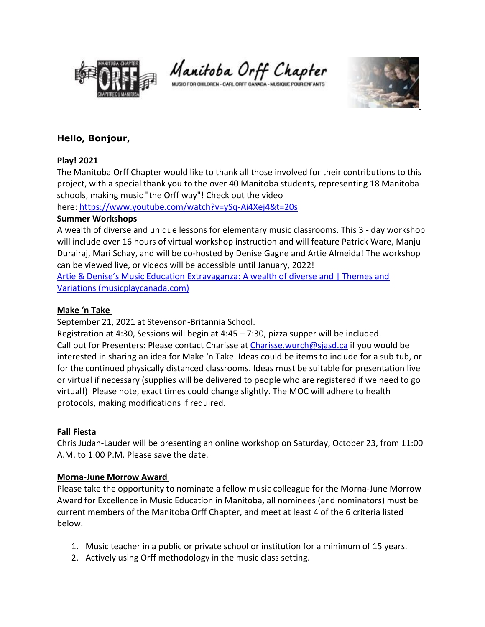

Manitoba Orff Chapter

MUSIC FOR CHILDREN - CARL ORFF CANADA - MUSIQUE POUR ENFANTS



# **Hello, Bonjour,**

### **Play! 2021**

The Manitoba Orff Chapter would like to thank all those involved for their contributions to this project, with a special thank you to the over 40 Manitoba students, representing 18 Manitoba schools, making music "the Orff way"! Check out the video

here: <https://www.youtube.com/watch?v=ySq-Ai4Xej4&t=20s>

#### **Summer Workshops**

A wealth of diverse and unique lessons for elementary music classrooms. This 3 - day workshop will include over 16 hours of virtual workshop instruction and will feature Patrick Ware, Manju Durairaj, Mari Schay, and will be co-hosted by Denise Gagne and Artie Almeida! The workshop can be viewed live, or videos will be accessible until January, 2022!

[Artie & Denise's Music Education Extravaganza](https://www.musicplaycanada.com/products/artie-denise-s-music-education-extravaganza): A wealth of diverse and | Themes and [Variations \(musicplaycanada.com\)](https://www.musicplaycanada.com/products/artie-denise-s-music-education-extravaganza)

### **Make 'n Take**

September 21, 2021 at Stevenson-Britannia School.

Registration at 4:30, Sessions will begin at 4:45 – 7:30, pizza supper will be included. Call out for Presenters: Please contact Charisse at [Charisse.wurch@sjasd.ca](mailto:Charisse.wurch@sjasd.ca) if you would be interested in sharing an idea for Make 'n Take. Ideas could be items to include for a sub tub, or for the continued physically distanced classrooms. Ideas must be suitable for presentation live or virtual if necessary (supplies will be delivered to people who are registered if we need to go virtual!) Please note, exact times could change slightly. The MOC will adhere to health protocols, making modifications if required.

## **Fall Fiesta**

Chris Judah-Lauder will be presenting an online workshop on Saturday, October 23, from 11:00 A.M. to 1:00 P.M. Please save the date.

## **Morna-June Morrow Award**

Please take the opportunity to nominate a fellow music colleague for the Morna-June Morrow Award for Excellence in Music Education in Manitoba, all nominees (and nominators) must be current members of the Manitoba Orff Chapter, and meet at least 4 of the 6 criteria listed below.

- 1. Music teacher in a public or private school or institution for a minimum of 15 years.
- 2. Actively using Orff methodology in the music class setting.